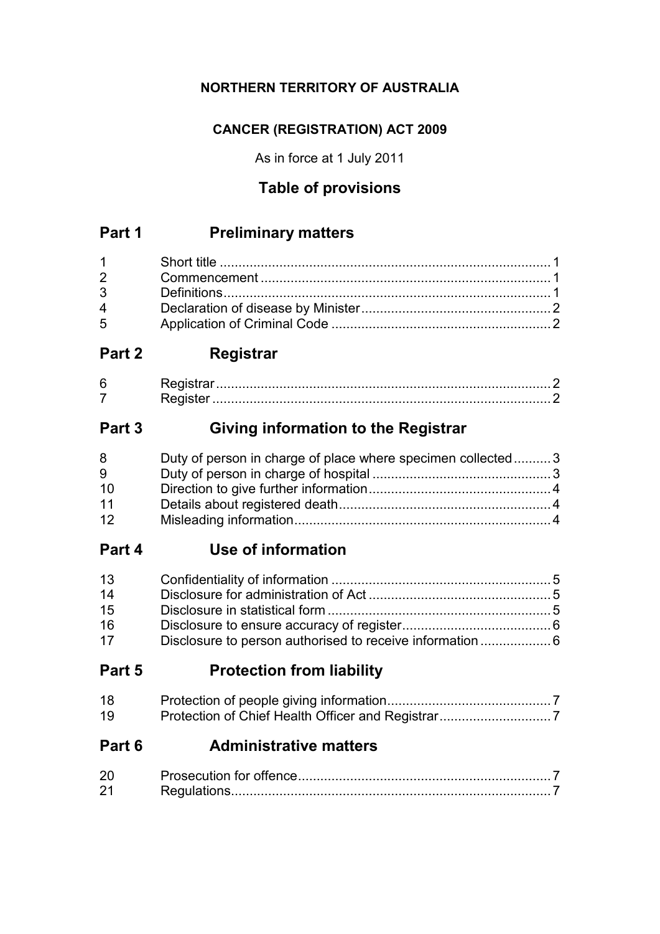## **NORTHERN TERRITORY OF AUSTRALIA**

## **CANCER (REGISTRATION) ACT 2009**

As in force at 1 July 2011

## **Table of provisions**

## **Part 1 Preliminary matters**

| $2 \left( \frac{1}{2} \right)$ |  |
|--------------------------------|--|
|                                |  |
| $\overline{4}$                 |  |
| $5^{\circ}$                    |  |

## **Part 2 Registrar**

| h |  |
|---|--|
|   |  |

## **Part 3 Giving information to the Registrar**

| 8  | Duty of person in charge of place where specimen collected3 |  |
|----|-------------------------------------------------------------|--|
| 9  |                                                             |  |
| 10 |                                                             |  |
| 11 |                                                             |  |
| 12 |                                                             |  |

## **Part 4 Use of information**

| 13 |                                                          |  |
|----|----------------------------------------------------------|--|
| 14 |                                                          |  |
| 15 |                                                          |  |
| 16 |                                                          |  |
| 17 | Disclosure to person authorised to receive information 6 |  |

## **Part 5 Protection from liability**

| 18 |  |
|----|--|
| 19 |  |

## **Part 6 Administrative matters**

| 20 |  |
|----|--|
| 21 |  |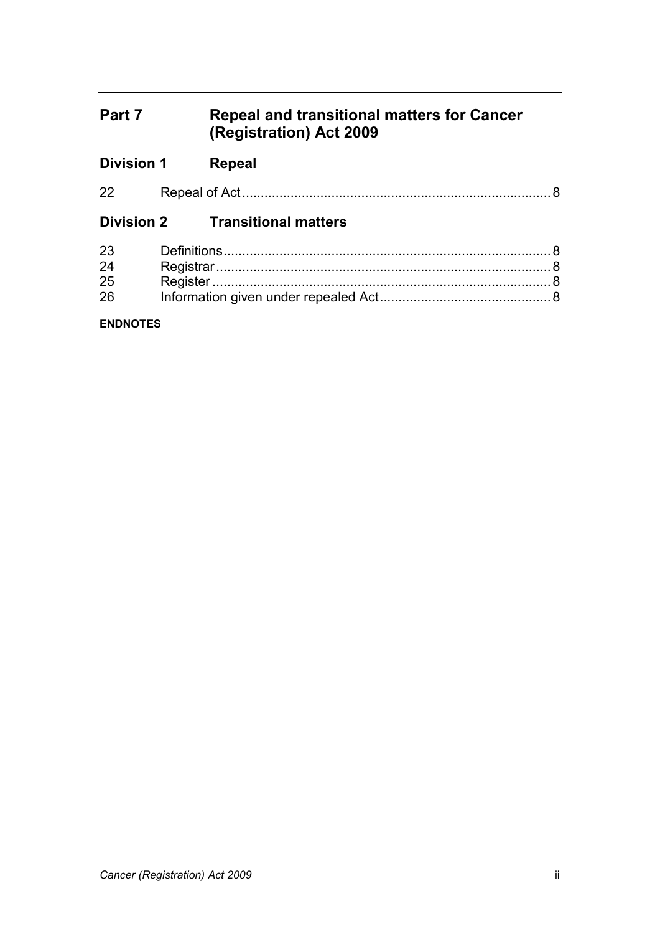## **Part 7 Repeal and transitional matters for Cancer (Registration) Act 2009**

| <b>Division 1</b> | Repeal                                 |  |
|-------------------|----------------------------------------|--|
| 22                |                                        |  |
|                   | <b>Division 2</b> Transitional matters |  |
| 23                |                                        |  |
| 24                |                                        |  |
| 25                |                                        |  |
| 26                |                                        |  |
| <b>ENDNOTES</b>   |                                        |  |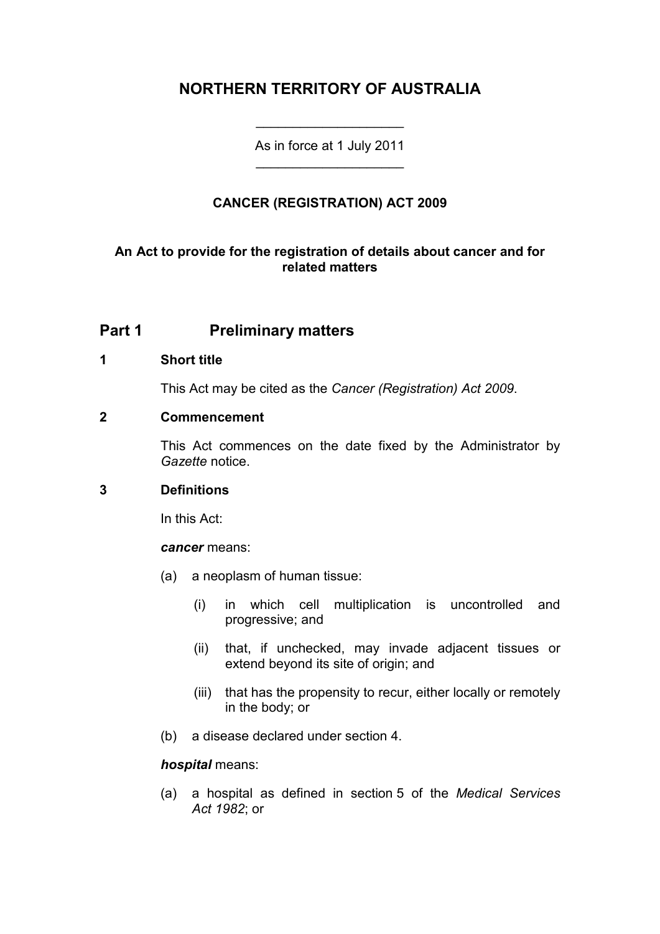## **NORTHERN TERRITORY OF AUSTRALIA**

As in force at 1 July 2011 \_\_\_\_\_\_\_\_\_\_\_\_\_\_\_\_\_\_\_\_

\_\_\_\_\_\_\_\_\_\_\_\_\_\_\_\_\_\_\_\_

### **CANCER (REGISTRATION) ACT 2009**

### **An Act to provide for the registration of details about cancer and for related matters**

### **Part 1 Preliminary matters**

### **1 Short title**

This Act may be cited as the *Cancer (Registration) Act 2009*.

### **2 Commencement**

This Act commences on the date fixed by the Administrator by *Gazette* notice.

### **3 Definitions**

In this Act:

#### *cancer* means:

- (a) a neoplasm of human tissue:
	- (i) in which cell multiplication is uncontrolled and progressive; and
	- (ii) that, if unchecked, may invade adjacent tissues or extend beyond its site of origin; and
	- (iii) that has the propensity to recur, either locally or remotely in the body; or
- (b) a disease declared under section 4.

#### *hospital* means:

(a) a hospital as defined in section 5 of the *Medical Services Act 1982*; or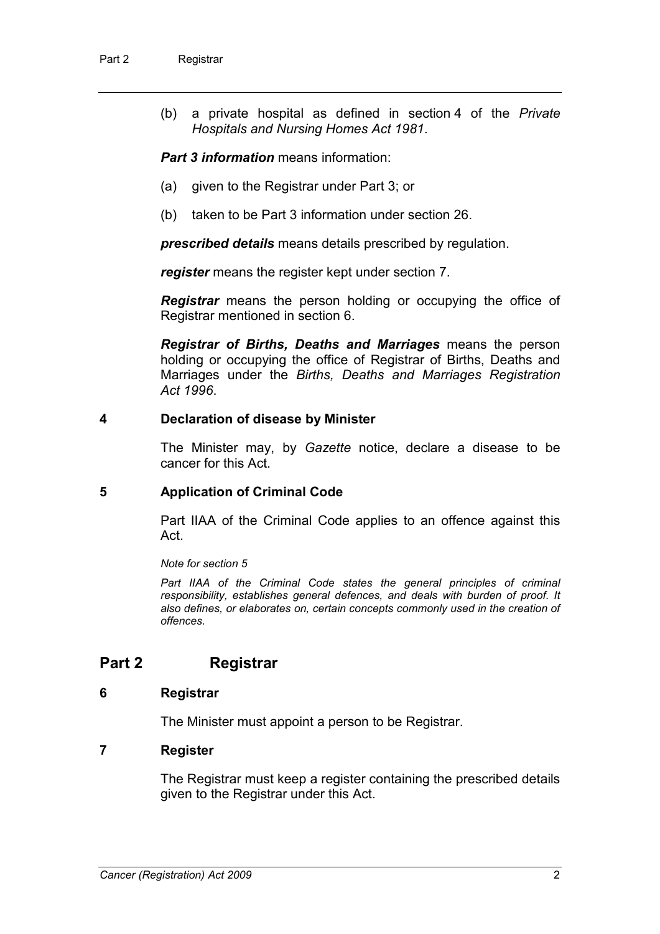(b) a private hospital as defined in section 4 of the *Private Hospitals and Nursing Homes Act 1981*.

*Part 3 information* means information:

- (a) given to the Registrar under Part 3; or
- (b) taken to be Part 3 information under section 26.

*prescribed details* means details prescribed by regulation.

*register* means the register kept under section 7.

*Registrar* means the person holding or occupying the office of Registrar mentioned in section 6.

*Registrar of Births, Deaths and Marriages* means the person holding or occupying the office of Registrar of Births, Deaths and Marriages under the *Births, Deaths and Marriages Registration Act 1996*.

#### **4 Declaration of disease by Minister**

The Minister may, by *Gazette* notice, declare a disease to be cancer for this Act.

### **5 Application of Criminal Code**

Part IIAA of the Criminal Code applies to an offence against this Act.

*Note for section 5*

Part IIAA of the Criminal Code states the general principles of criminal *responsibility, establishes general defences, and deals with burden of proof. It also defines, or elaborates on, certain concepts commonly used in the creation of offences.* 

### **Part 2 Registrar**

### **6 Registrar**

The Minister must appoint a person to be Registrar.

### **7 Register**

The Registrar must keep a register containing the prescribed details given to the Registrar under this Act.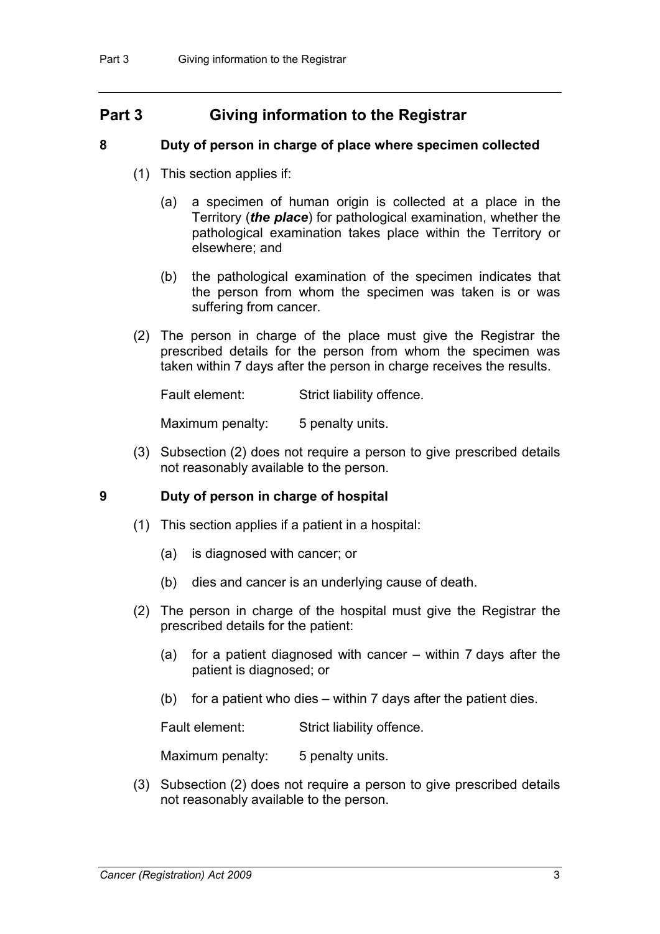### **Part 3 Giving information to the Registrar**

### **8 Duty of person in charge of place where specimen collected**

- (1) This section applies if:
	- (a) a specimen of human origin is collected at a place in the Territory (*the place*) for pathological examination, whether the pathological examination takes place within the Territory or elsewhere; and
	- (b) the pathological examination of the specimen indicates that the person from whom the specimen was taken is or was suffering from cancer.
- (2) The person in charge of the place must give the Registrar the prescribed details for the person from whom the specimen was taken within 7 days after the person in charge receives the results.

Fault element: Strict liability offence.

Maximum penalty: 5 penalty units.

(3) Subsection (2) does not require a person to give prescribed details not reasonably available to the person.

### **9 Duty of person in charge of hospital**

- (1) This section applies if a patient in a hospital:
	- (a) is diagnosed with cancer; or
	- (b) dies and cancer is an underlying cause of death.
- (2) The person in charge of the hospital must give the Registrar the prescribed details for the patient:
	- (a) for a patient diagnosed with cancer within 7 days after the patient is diagnosed; or
	- (b) for a patient who dies within 7 days after the patient dies.

Fault element: Strict liability offence.

Maximum penalty: 5 penalty units.

(3) Subsection (2) does not require a person to give prescribed details not reasonably available to the person.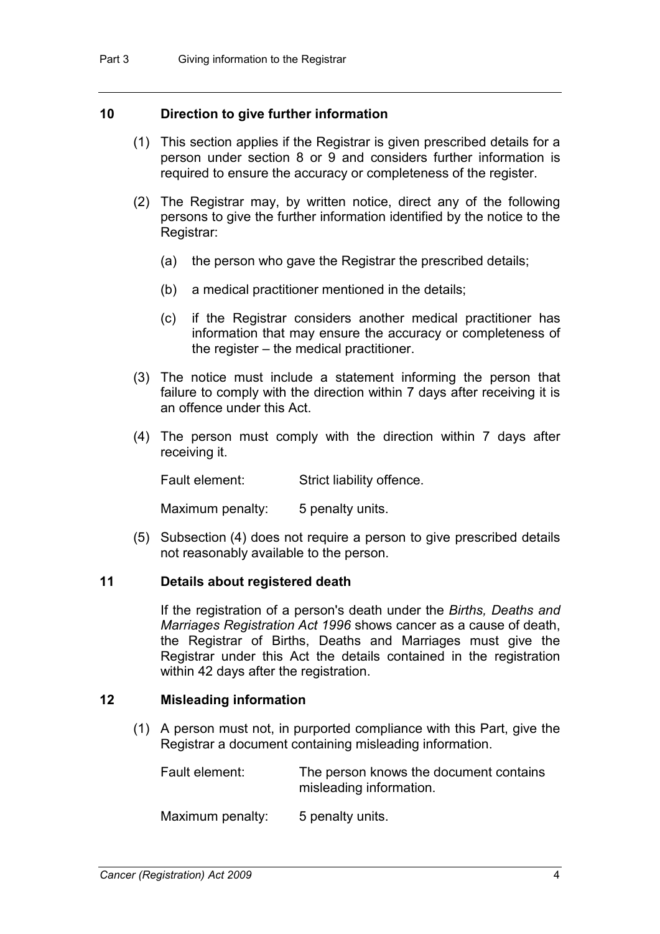### **10 Direction to give further information**

- (1) This section applies if the Registrar is given prescribed details for a person under section 8 or 9 and considers further information is required to ensure the accuracy or completeness of the register.
- (2) The Registrar may, by written notice, direct any of the following persons to give the further information identified by the notice to the Registrar:
	- (a) the person who gave the Registrar the prescribed details;
	- (b) a medical practitioner mentioned in the details;
	- (c) if the Registrar considers another medical practitioner has information that may ensure the accuracy or completeness of the register – the medical practitioner.
- (3) The notice must include a statement informing the person that failure to comply with the direction within 7 days after receiving it is an offence under this Act.
- (4) The person must comply with the direction within 7 days after receiving it.

Fault element: Strict liability offence.

Maximum penalty: 5 penalty units.

(5) Subsection (4) does not require a person to give prescribed details not reasonably available to the person.

#### **11 Details about registered death**

If the registration of a person's death under the *Births, Deaths and Marriages Registration Act 1996* shows cancer as a cause of death, the Registrar of Births, Deaths and Marriages must give the Registrar under this Act the details contained in the registration within 42 days after the registration.

### **12 Misleading information**

(1) A person must not, in purported compliance with this Part, give the Registrar a document containing misleading information.

Fault element: The person knows the document contains misleading information.

Maximum penalty: 5 penalty units.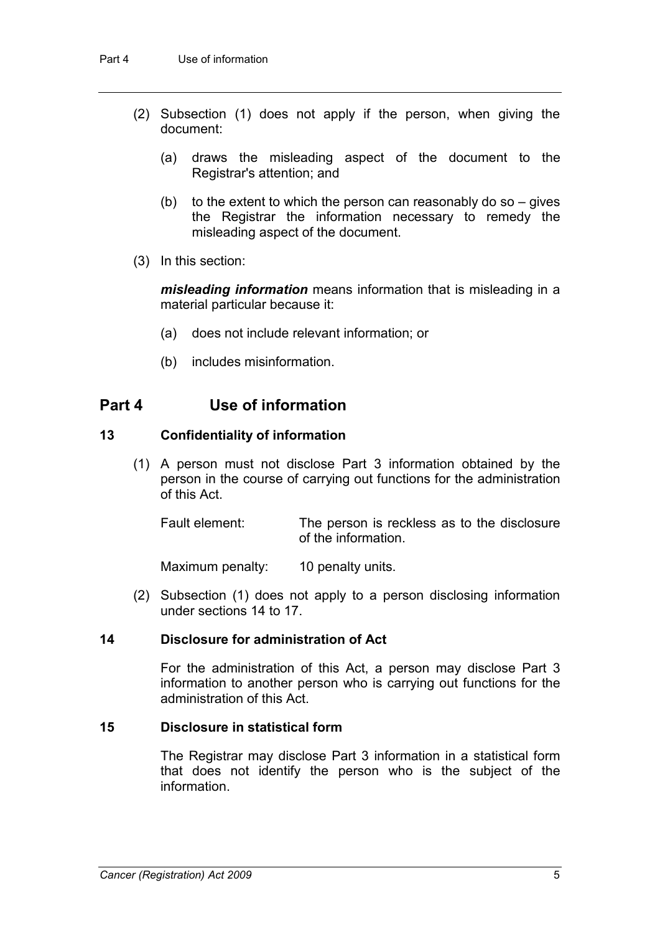- (2) Subsection (1) does not apply if the person, when giving the document:
	- (a) draws the misleading aspect of the document to the Registrar's attention; and
	- (b) to the extent to which the person can reasonably do so  $-$  gives the Registrar the information necessary to remedy the misleading aspect of the document.
- (3) In this section:

*misleading information* means information that is misleading in a material particular because it:

- (a) does not include relevant information; or
- (b) includes misinformation.

### **Part 4 Use of information**

#### **13 Confidentiality of information**

(1) A person must not disclose Part 3 information obtained by the person in the course of carrying out functions for the administration of this Act.

Fault element: The person is reckless as to the disclosure of the information.

Maximum penalty: 10 penalty units.

(2) Subsection (1) does not apply to a person disclosing information under sections 14 to 17.

### **14 Disclosure for administration of Act**

For the administration of this Act, a person may disclose Part 3 information to another person who is carrying out functions for the administration of this Act.

#### **15 Disclosure in statistical form**

The Registrar may disclose Part 3 information in a statistical form that does not identify the person who is the subject of the information.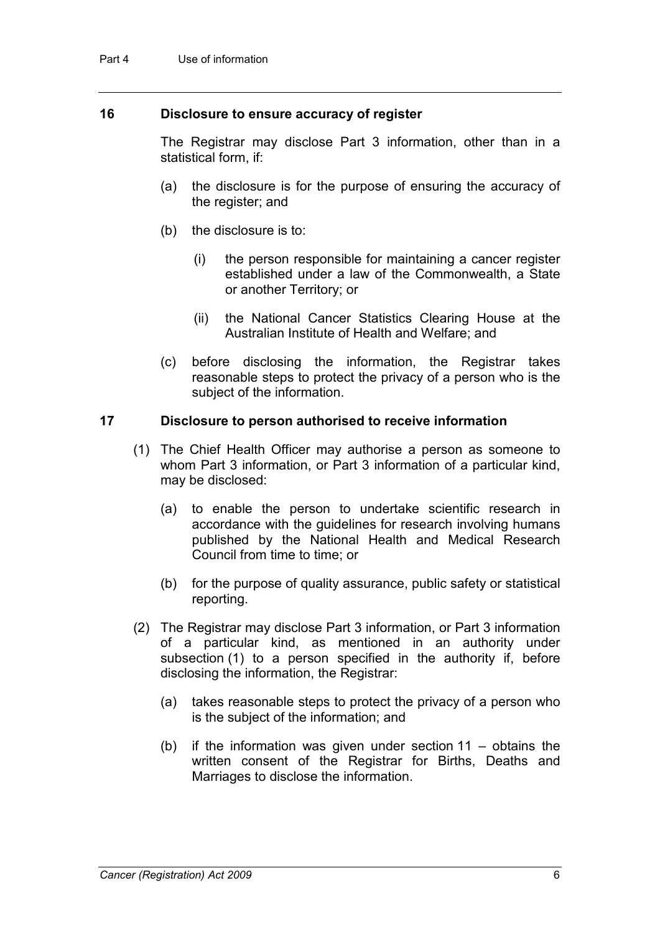### **16 Disclosure to ensure accuracy of register**

The Registrar may disclose Part 3 information, other than in a statistical form, if:

- (a) the disclosure is for the purpose of ensuring the accuracy of the register; and
- (b) the disclosure is to:
	- (i) the person responsible for maintaining a cancer register established under a law of the Commonwealth, a State or another Territory; or
	- (ii) the National Cancer Statistics Clearing House at the Australian Institute of Health and Welfare; and
- (c) before disclosing the information, the Registrar takes reasonable steps to protect the privacy of a person who is the subject of the information.

#### **17 Disclosure to person authorised to receive information**

- (1) The Chief Health Officer may authorise a person as someone to whom Part 3 information, or Part 3 information of a particular kind, may be disclosed:
	- (a) to enable the person to undertake scientific research in accordance with the guidelines for research involving humans published by the National Health and Medical Research Council from time to time; or
	- (b) for the purpose of quality assurance, public safety or statistical reporting.
- (2) The Registrar may disclose Part 3 information, or Part 3 information of a particular kind, as mentioned in an authority under subsection (1) to a person specified in the authority if, before disclosing the information, the Registrar:
	- (a) takes reasonable steps to protect the privacy of a person who is the subject of the information; and
	- (b) if the information was given under section 11 obtains the written consent of the Registrar for Births, Deaths and Marriages to disclose the information.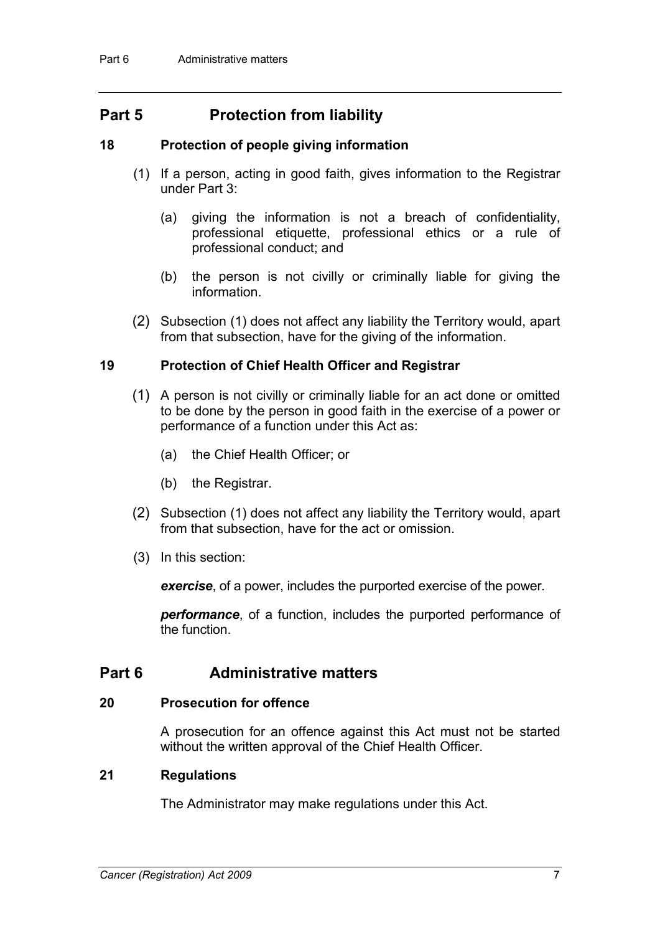## **Part 5 Protection from liability**

### **18 Protection of people giving information**

- (1) If a person, acting in good faith, gives information to the Registrar under Part 3:
	- (a) giving the information is not a breach of confidentiality, professional etiquette, professional ethics or a rule of professional conduct; and
	- (b) the person is not civilly or criminally liable for giving the information.
- (2) Subsection (1) does not affect any liability the Territory would, apart from that subsection, have for the giving of the information.

### **19 Protection of Chief Health Officer and Registrar**

- (1) A person is not civilly or criminally liable for an act done or omitted to be done by the person in good faith in the exercise of a power or performance of a function under this Act as:
	- (a) the Chief Health Officer; or
	- (b) the Registrar.
- (2) Subsection (1) does not affect any liability the Territory would, apart from that subsection, have for the act or omission.
- (3) In this section:

*exercise*, of a power, includes the purported exercise of the power.

*performance*, of a function, includes the purported performance of the function.

### **Part 6 Administrative matters**

### **20 Prosecution for offence**

A prosecution for an offence against this Act must not be started without the written approval of the Chief Health Officer.

### **21 Regulations**

The Administrator may make regulations under this Act.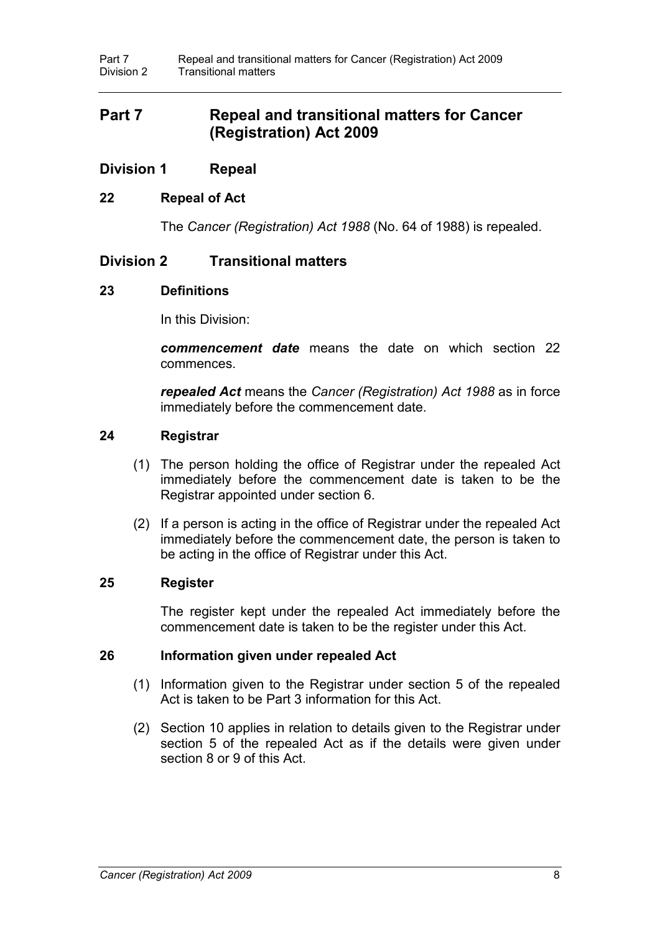### **Part 7 Repeal and transitional matters for Cancer (Registration) Act 2009**

### **Division 1 Repeal**

### **22 Repeal of Act**

The *Cancer (Registration) Act 1988* (No. 64 of 1988) is repealed.

### **Division 2 Transitional matters**

### **23 Definitions**

In this Division:

*commencement date* means the date on which section 22 commences.

*repealed Act* means the *Cancer (Registration) Act 1988* as in force immediately before the commencement date.

### **24 Registrar**

- (1) The person holding the office of Registrar under the repealed Act immediately before the commencement date is taken to be the Registrar appointed under section 6.
- (2) If a person is acting in the office of Registrar under the repealed Act immediately before the commencement date, the person is taken to be acting in the office of Registrar under this Act.

### **25 Register**

The register kept under the repealed Act immediately before the commencement date is taken to be the register under this Act.

#### **26 Information given under repealed Act**

- (1) Information given to the Registrar under section 5 of the repealed Act is taken to be Part 3 information for this Act.
- (2) Section 10 applies in relation to details given to the Registrar under section 5 of the repealed Act as if the details were given under section 8 or 9 of this Act.